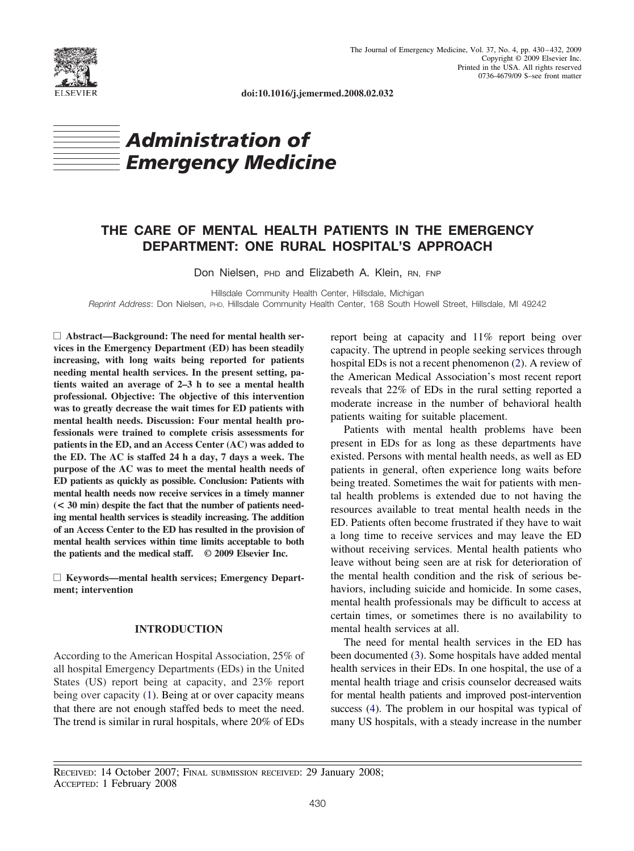

**doi:10.1016/j.jemermed.2008.02.032**



# **THE CARE OF MENTAL HEALTH PATIENTS IN THE EMERGENCY DEPARTMENT: ONE RURAL HOSPITAL'S APPROACH**

Don Nielsen, PHD and Elizabeth A. Klein, RN, FNP

Hillsdale Community Health Center, Hillsdale, Michigan *Reprint Address*: Don Nielsen, PHD, Hillsdale Community Health Center, 168 South Howell Street, Hillsdale, MI 49242

□ Abstract—Background: The need for mental health ser**vices in the Emergency Department (ED) has been steadily increasing, with long waits being reported for patients needing mental health services. In the present setting, patients waited an average of 2–3 h to see a mental health professional. Objective: The objective of this intervention was to greatly decrease the wait times for ED patients with mental health needs. Discussion: Four mental health professionals were trained to complete crisis assessments for patients in the ED, and an Access Center (AC) was added to the ED. The AC is staffed 24 h a day, 7 days a week. The purpose of the AC was to meet the mental health needs of ED patients as quickly as possible. Conclusion: Patients with mental health needs now receive services in a timely manner (< 30 min) despite the fact that the number of patients needing mental health services is steadily increasing. The addition of an Access Center to the ED has resulted in the provision of mental health services within time limits acceptable to both the patients and the medical staff. © 2009 Elsevier Inc.**

□ Keywords—mental health services; Emergency Depart**ment; intervention**

### **INTRODUCTION**

According to the American Hospital Association, 25% of all hospital Emergency Departments (EDs) in the United States (US) report being at capacity, and 23% report being over capacity [\(1\)](#page-2-0). Being at or over capacity means that there are not enough staffed beds to meet the need. The trend is similar in rural hospitals, where 20% of EDs

report being at capacity and 11% report being over capacity. The uptrend in people seeking services through hospital EDs is not a recent phenomenon [\(2\)](#page-2-0). A review of the American Medical Association's most recent report reveals that 22% of EDs in the rural setting reported a moderate increase in the number of behavioral health patients waiting for suitable placement.

Patients with mental health problems have been present in EDs for as long as these departments have existed. Persons with mental health needs, as well as ED patients in general, often experience long waits before being treated. Sometimes the wait for patients with mental health problems is extended due to not having the resources available to treat mental health needs in the ED. Patients often become frustrated if they have to wait a long time to receive services and may leave the ED without receiving services. Mental health patients who leave without being seen are at risk for deterioration of the mental health condition and the risk of serious behaviors, including suicide and homicide. In some cases, mental health professionals may be difficult to access at certain times, or sometimes there is no availability to mental health services at all.

The need for mental health services in the ED has been documented [\(3\)](#page-2-0). Some hospitals have added mental health services in their EDs. In one hospital, the use of a mental health triage and crisis counselor decreased waits for mental health patients and improved post-intervention success [\(4\)](#page-2-0). The problem in our hospital was typical of many US hospitals, with a steady increase in the number

RECEIVED: 14 October 2007; FINAL SUBMISSION RECEIVED: 29 January 2008; ACCEPTED: 1 February 2008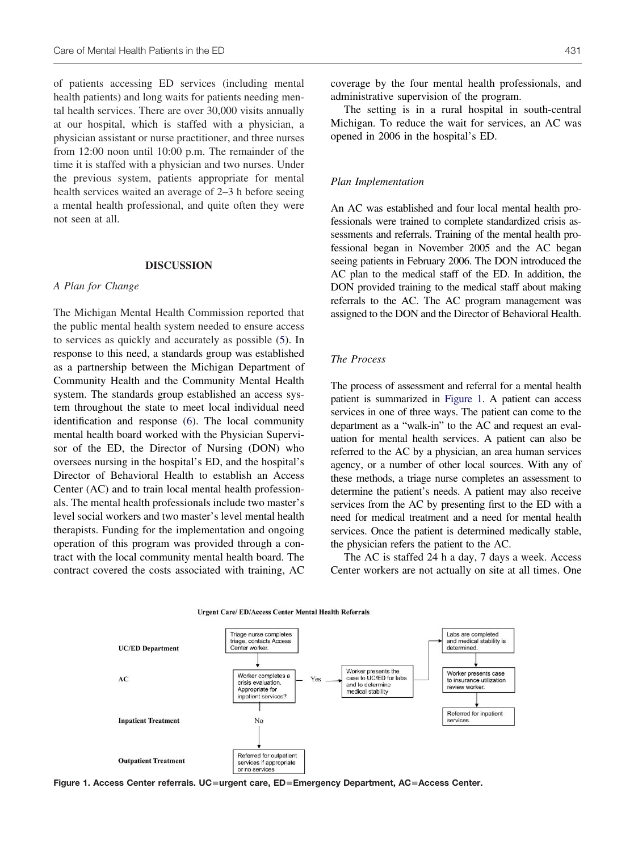of patients accessing ED services (including mental health patients) and long waits for patients needing mental health services. There are over 30,000 visits annually at our hospital, which is staffed with a physician, a physician assistant or nurse practitioner, and three nurses from 12:00 noon until 10:00 p.m. The remainder of the time it is staffed with a physician and two nurses. Under the previous system, patients appropriate for mental health services waited an average of 2–3 h before seeing a mental health professional, and quite often they were not seen at all.

#### **DISCUSSION**

#### *A Plan for Change*

The Michigan Mental Health Commission reported that the public mental health system needed to ensure access to services as quickly and accurately as possible [\(5\)](#page-2-0). In response to this need, a standards group was established as a partnership between the Michigan Department of Community Health and the Community Mental Health system. The standards group established an access system throughout the state to meet local individual need identification and response [\(6\)](#page-2-0). The local community mental health board worked with the Physician Supervisor of the ED, the Director of Nursing (DON) who oversees nursing in the hospital's ED, and the hospital's Director of Behavioral Health to establish an Access Center (AC) and to train local mental health professionals. The mental health professionals include two master's level social workers and two master's level mental health therapists. Funding for the implementation and ongoing operation of this program was provided through a contract with the local community mental health board. The contract covered the costs associated with training, AC

coverage by the four mental health professionals, and administrative supervision of the program.

The setting is in a rural hospital in south-central Michigan. To reduce the wait for services, an AC was opened in 2006 in the hospital's ED.

# *Plan Implementation*

An AC was established and four local mental health professionals were trained to complete standardized crisis assessments and referrals. Training of the mental health professional began in November 2005 and the AC began seeing patients in February 2006. The DON introduced the AC plan to the medical staff of the ED. In addition, the DON provided training to the medical staff about making referrals to the AC. The AC program management was assigned to the DON and the Director of Behavioral Health.

# *The Process*

The process of assessment and referral for a mental health patient is summarized in Figure 1. A patient can access services in one of three ways. The patient can come to the department as a "walk-in" to the AC and request an evaluation for mental health services. A patient can also be referred to the AC by a physician, an area human services agency, or a number of other local sources. With any of these methods, a triage nurse completes an assessment to determine the patient's needs. A patient may also receive services from the AC by presenting first to the ED with a need for medical treatment and a need for mental health services. Once the patient is determined medically stable, the physician refers the patient to the AC.

The AC is staffed 24 h a day, 7 days a week. Access Center workers are not actually on site at all times. One



Figure 1. Access Center referrals. UC=urgent care, ED=Emergency Department, AC=Access Center.